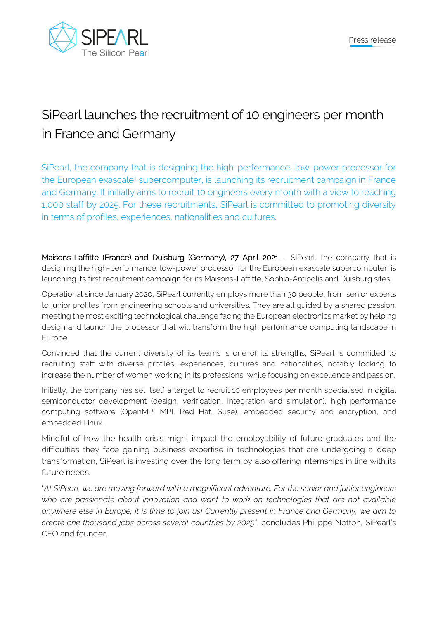

## SiPearl launches the recruitment of 10 engineers per month in France and Germany

SiPearl, the company that is designing the high-performance, low-power processor for the European exascale<sup>1</sup> supercomputer, is launching its recruitment campaign in France and Germany. It initially aims to recruit 10 engineers every month with a view to reaching 1,000 staff by 2025. For these recruitments, SiPearl is committed to promoting diversity in terms of profiles, experiences, nationalities and cultures.

Maisons-Laffitte (France) and Duisburg (Germany), 27 April 2021 – SiPearl, the company that is designing the high-performance, low-power processor for the European exascale supercomputer, is launching its first recruitment campaign for its Maisons-Laffitte, Sophia-Antipolis and Duisburg sites.

Operational since January 2020, SiPearl currently employs more than 30 people, from senior experts to junior profiles from engineering schools and universities. They are all guided by a shared passion: meeting the most exciting technological challenge facing the European electronics market by helping design and launch the processor that will transform the high performance computing landscape in Europe.

Convinced that the current diversity of its teams is one of its strengths, SiPearl is committed to recruiting staff with diverse profiles, experiences, cultures and nationalities, notably looking to increase the number of women working in its professions, while focusing on excellence and passion.

Initially, the company has set itself a target to recruit 10 employees per month specialised in digital semiconductor development (design, verification, integration and simulation), high performance computing software (OpenMP, MPI, Red Hat, Suse), embedded security and encryption, and embedded Linux.

Mindful of how the health crisis might impact the employability of future graduates and the difficulties they face gaining business expertise in technologies that are undergoing a deep transformation, SiPearl is investing over the long term by also offering internships in line with its future needs.

"*At SiPearl, we are moving forward with a magnificent adventure. For the senior and junior engineers who are passionate about innovation and want to work on technologies that are not available anywhere else in Europe, it is time to join us! Currently present in France and Germany, we aim to create one thousand jobs across several countries by 2025"*, concludes Philippe Notton, SiPearl's CEO and founder.